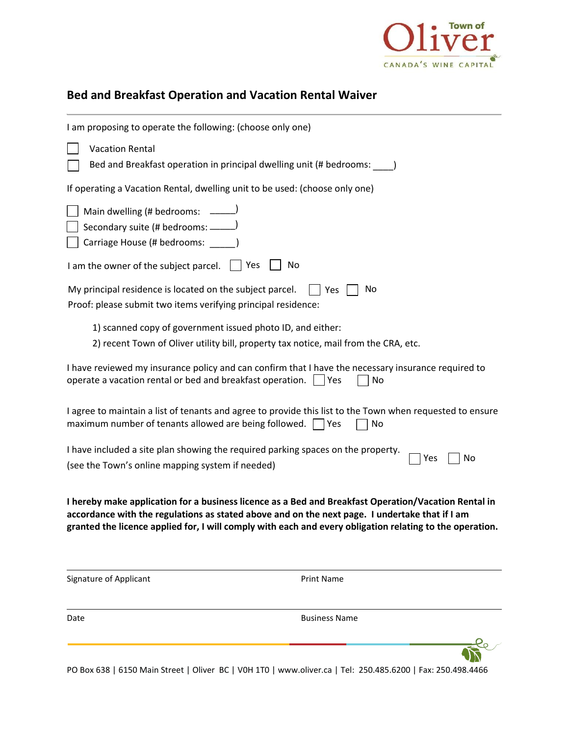

# **Bed and Breakfast Operation and Vacation Rental Waiver**

| I am proposing to operate the following: (choose only one)                                                                                                                                                                                                                                                         |
|--------------------------------------------------------------------------------------------------------------------------------------------------------------------------------------------------------------------------------------------------------------------------------------------------------------------|
| <b>Vacation Rental</b><br>Bed and Breakfast operation in principal dwelling unit (# bedrooms:                                                                                                                                                                                                                      |
| If operating a Vacation Rental, dwelling unit to be used: (choose only one)                                                                                                                                                                                                                                        |
| Main dwelling (# bedrooms: ______)<br>Secondary suite (# bedrooms: ______)<br>Carriage House (# bedrooms: _____)                                                                                                                                                                                                   |
| No<br>I am the owner of the subject parcel. $\Box$ Yes                                                                                                                                                                                                                                                             |
| My principal residence is located on the subject parcel.<br>    Yes<br>No<br>Proof: please submit two items verifying principal residence:                                                                                                                                                                         |
| 1) scanned copy of government issued photo ID, and either:<br>2) recent Town of Oliver utility bill, property tax notice, mail from the CRA, etc.                                                                                                                                                                  |
| I have reviewed my insurance policy and can confirm that I have the necessary insurance required to<br>operate a vacation rental or bed and breakfast operation. $\Box$ Yes<br>No                                                                                                                                  |
| I agree to maintain a list of tenants and agree to provide this list to the Town when requested to ensure<br>maximum number of tenants allowed are being followed. $\vert \ \vert$ Yes<br>No                                                                                                                       |
| I have included a site plan showing the required parking spaces on the property.<br>Yes<br>No                                                                                                                                                                                                                      |
| (see the Town's online mapping system if needed)                                                                                                                                                                                                                                                                   |
| I hereby make application for a business licence as a Bed and Breakfast Operation/Vacation Rental in<br>accordance with the regulations as stated above and on the next page. I undertake that if I am<br>granted the licence applied for, I will comply with each and every obligation relating to the operation. |
| Signature of Applicant<br><b>Print Name</b>                                                                                                                                                                                                                                                                        |
| <b>Business Name</b><br>Date                                                                                                                                                                                                                                                                                       |
|                                                                                                                                                                                                                                                                                                                    |

PO Box 638 | 6150 Main Street | Oliver BC | [V0H 1T0 | www.oliver.ca](http://www.oliver.ca/) | Tel: 250.485.6200 | Fax: 250.498.4466